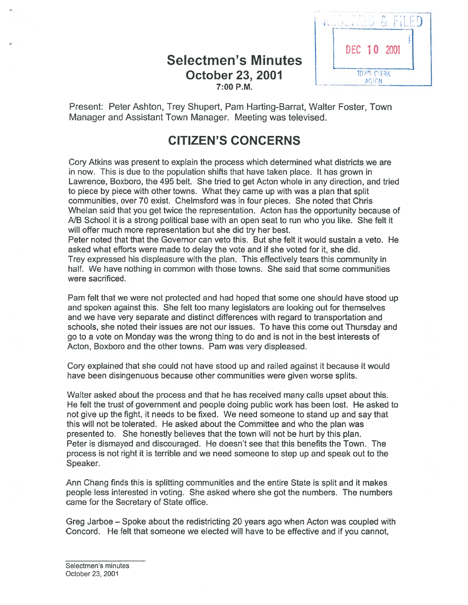# October 23, 2001  $7:00$  P.M.



Present: Peter Ashton, Trey Shupert, Pam Harting-Barrat, Walter Foster, Town Manager and Assistant Town Manager. Meeting was televised.

# CITIZEN'S CONCERNS

Cory Atkins was presen<sup>t</sup> to explain the process which determined what districts we are in now. This is due to the population shifts that have taken place. It has grown in Lawrence, Boxboro, the 495 belt. She tried to ge<sup>t</sup> Acton whole in any direction, and tried to piece by piece with other towns. What they came up with was <sup>a</sup> plan that split communities, over 70 exist. Chelmsford was in four pieces. She noted that Chris Whelan said that you ge<sup>t</sup> twice the representation. Acton has the opportunity because of NB School it is <sup>a</sup> strong political base with an open seat to run who you like. She felt it will offer much more representation but she did try her best.

Peter noted that that the Governor can veto this. But she felt it would sustain <sup>a</sup> veto. He asked what efforts were made to delay the vote and if she voted for it, she did. Trey expressed his displeasure with the plan. This effectively tears this community in half. We have nothing in common with those towns. She said that some communities were sacrificed.

Pam felt that we were not protected and had hoped that some one should have stood up and spoken against this. She felt too many legislators are looking out for themselves and we have very separate and distinct differences with regard to transportation and schools, she noted their issues are not our issues. To have this come out Thursday and go to <sup>a</sup> vote on Monday was the wrong thing to do and is not in the best interests of Acton, Boxboro and the other towns. Pam was very displeased.

Cory explained that she could not have stood up and railed against it because it would have been disingenuous because other communities were given worse splits.

Walter asked about the process and that he has received many calls upse<sup>t</sup> about this. He felt the trust of governmen<sup>t</sup> and people doing public work has been lost. He asked to not give up the fight, it needs to be fixed. We need someone to stand up and say that this will not be tolerated. He asked about the Committee and who the plan was presented to. She honestly believes that the town will not be hurt by this plan. Peter is dismayed and discouraged. He doesn't see that this benefits the Town. The process is not right it is terrible and we need someone to step up and speak out to the Speaker.

Ann Chang finds this is splitting communities and the entire State is split and it makes people less interested in voting. She asked where she go<sup>t</sup> the numbers. The numbers came for the Secretary of State office.

Greg Jarboe — Spoke about the redistricting 20 years ago when Acton was coupled with Concord. He felt that someone we elected will have to be effective and if you cannot,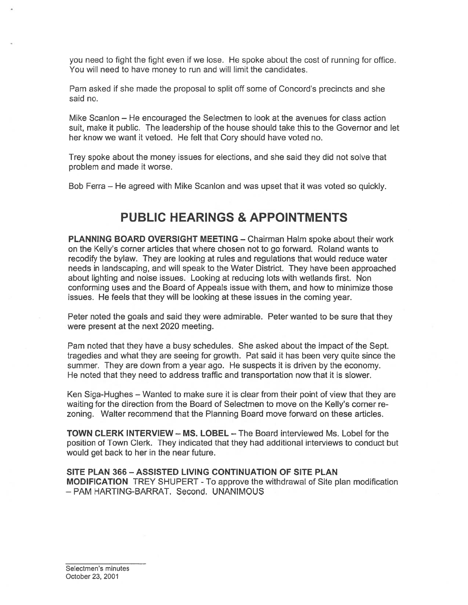you need to fight the fight even if we lose. He spoke about the cost of running for office. You will need to have money to run and will limit the candidates.

Pam asked if she made the proposal to split off some of Concord's precincts and she said no.

Mike Scanlon — He encouraged the Selectmen to look at the avenues for class action suit, make it public. The leadership of the house should take this to the Governor and let her know we want it vetoed. He felt that Cory should have voted no.

Trey spoke about the money issues for elections, and she said they did not solve that problem and made it worse.

Bob Ferra — He agreed with Mike Scanlon and was upse<sup>t</sup> that it was voted so quickly.

# PUBLIC HEARINGS & APPOINTMENTS

PLANNING BOARD OVERSIGHT MEETING — Chairman HaIm spoke about their work on the Kelly's corner articles that where chosen not to go forward. Roland wants to recodify the bylaw. They are looking at rules and regulations that would reduce water needs in landscaping, and will speak to the Water District. They have been approached about lighting and noise issues. Looking at reducing lots with wetlands first. Non conforming uses and the Board of Appeals issue with them, and how to minimize those issues. He feels that they will be looking at these issues in the coming year.

Peter noted the goals and said they were admirable. Peter wanted to be sure that they were presen<sup>t</sup> at the next 2020 meeting.

Pam noted that they have <sup>a</sup> busy schedules. She asked about the impact of the Sept. tragedies and what they are seeing for growth. Pat said it has been very quite since the summer. They are down from <sup>a</sup> year ago. He suspects it is driven by the economy. He noted that they need to address traffic and transportation now that it is slower.

Ken Siga-Hughes — Wanted to make sure it is clear from their point of view that they are waiting for the direction from the Board of Selectmen to move on the Kelly's corner re zoning. Walter recommend that the Planning Board move forward on these articles.

TOWN CLERK INTERVIEW — MS. LOBEL — The Board interviewed Ms. Lobel for the position of Town Clerk. They indicated that they had additional interviews to conduct but would ge<sup>t</sup> back to her in the near future.

SITE PLAN 366 — ASSISTED LIVING CONTINUATION OF SITE PLAN **MODIFICATION** TREY SHUPERT - To approve the withdrawal of Site plan modification — PAM HARTING-BARRAT. Second. UNANIMOUS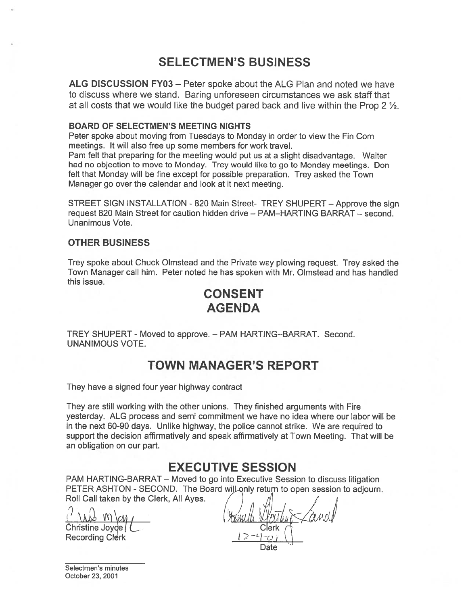# SELECTMEN'S BUSINESS

ALG DISCUSSION FY03 — Peter spoke about the ALG Plan and noted we have to discuss where we stand. Baring unforeseen circumstances we ask staff that at all costs that we would like the budget pared back and live within the Prop 2  $\frac{1}{2}$ .

#### BOARD OF SELECTMEN'S MEETING NIGHTS

Peter spoke about moving from Tuesdays to Monday in order to view the Fin Com meetings. It will also free up some members for work travel.

Pam felt that preparing for the meeting would pu<sup>t</sup> us at <sup>a</sup> slight disadvantage. Walter had no objection to move to Monday. Trey would like to go to Monday meetings. Don felt that Monday will be fine excep<sup>t</sup> for possible preparation. Trey asked the Town Manager go over the calendar and look at it next meeting.

STREET SIGN INSTALLATION - 820 Main Street- TREY SHUPERT — Approve the sign reques<sup>t</sup> 820 Main Street for caution hidden drive — PAM—HARTING BARRAT — second. Unanimous Vote.

#### OTHER BUSINESS

Trey spoke about Chuck Olmstead and the Private way plowing request. Trey asked the Town Manager call him. Peter noted he has spoken with Mr. Olmstead and has handled this issue.

# CONSENT AGENDA

TREY SHUPERT - Moved to approve. — PAM HARTING—BARRAT. Second. UNANIMOUS VOTE.

### TOWN MANAGER'S REPORT

They have <sup>a</sup> signed four year highway contract

They are still working with the other unions. They finished arguments with Fire yesterday. ALG process and semi commitment we have no idea where our labor will be in the next 60-90 days. Unlike highway, the police cannot strike. We are required to suppor<sup>t</sup> the decision affirmatively and speak affirmatively at Town Meeting. That will be an obligation on our part.

### EXECUTIVE SESSION

PAM HARTING-BARRAT — Moved to go into Executive Session to discuss litigation PETER ASHTON - SECOND. The Board will only return to open session to adjourn<br>Roll Call taken by the Clerk, All Ayes.<br>(i)  $\left[\begin{matrix} 1 & 0 & 0 \\ 0 & 1 & 0 \\ 0 & 0 & 0 \end{matrix}\right]$ Roll Call taken by the Clerk, All Ayes.

Christine Joyde ( L. Clerk )<br>Recording Clerk ( ۱۵۰۲–۱۵۰۲) **Recording Clerk** 

Date

Selectmen's minutes October 23, 2001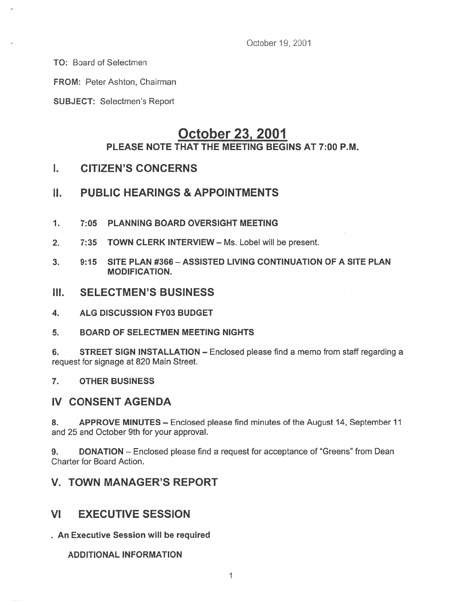October 19, 2001

TO: Board of Selectmen

FROM: Peter Ashton, Chairman

SUBJECT: Selectmen's Report

### October 23, 2001 PLEASE NOTE THAT THE MEETING BEGINS AT 7:00 P.M.

### I. CITIZEN'S CONCERNS

### II. PUBLIC HEARINGS & APPOINTMENTS

- 1. 7:05 PLANNING BOARD OVERSIGHT MEETING
- 2. 7:35 TOWN CLERK INTERVIEW Ms. Lobel will be present.
- 3. 9:15 SITE PLAN #366 ASSISTED LIVING CONTINUATION OF A SITE PLAN MODIFICATION.
- III. SELECTMEN'S BUSINESS
- 4. ALG DISCUSSION FY03 BUDGET
- 5. BOARD OF SELECTMEN MEETiNG NIGHTS

6. STREET SIGN INSTALLATION — Enclosed please find <sup>a</sup> memo from staff regarding <sup>a</sup> reques<sup>t</sup> for signage at 820 Main Street.

7. OTHER BUSINESS

### IV CONSENT AGENDA

8. APPROVE MINUTES – Enclosed please find minutes of the August 14, September 11 and 25 and October 9th for your approval.

9. DONATION — Enclosed please find <sup>a</sup> reques<sup>t</sup> for acceptance of "Greens" from Dean Charter for Board Action.

### V. TOWN MANAGER'S REPORT

### VI EXECUTIVE SESSION

An Executive Session will be required

ADDITIONAL INFORMATION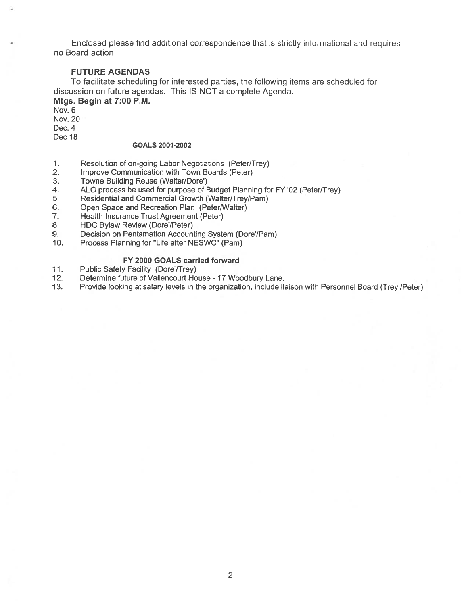Enclosed please find additional correspondence that is strictly informational and requires no Board action.

#### FUTURE AGENDAS

To facilitate scheduling for interested parties, the following items are scheduled for discussion on future agendas. This IS NOT <sup>a</sup> complete Agenda. Mtgs. Begin at 7:00 P.M.

Nov. 6 Nov. 20

Dec. 4

Dec 18

#### GOALS 2001 -2002

- 1. Resolution of on-going Labor Negotiations (Peter/Trey)
- 2. Improve Communication with Town Boards (Peter)
- 3. Towne Building Reuse (Walter/Dore')
- 4. ALG process be used for purpose of Budget Planning for FY '02 (Peter/Trey)
- 5 Residential and Commercial Growth (Walter/Trey/Pam)
- 6. Open Space and Recreation Plan (Peter/Walter)
- 7. Health Insurance Trust Agreement (Peter)
- 8. HDC Bylaw Review (Dore'/Peter)
- 9. Decision on Pentamation Accounting System (Dore'/Pam)
- 10. Process Planning for "Life after NESWC" (Pam)

#### FY 2000 GOALS carried forward

- 11. Public Safety Facility (Dore'/Trey)
- 12. Determine future of Vallencourt House 17 Woodbury Lane.
- 13. Provide looking at salary levels in the organization, include liaison with Personnel Board (Trey /Peter)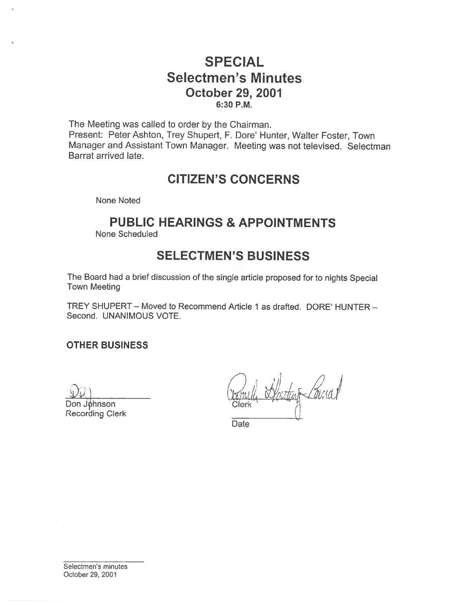# SPECIAL Selectmen's Minutes October 29, 2001 6:30 P.M.

The Meeting was called to order by the Chairman. Present: Peter Ashton, Trey Shupert, F. Dore' Hunter, Walter Foster, Town Manager and Assistant Town Manager. Meeting was not televised. Selectman Barrat arrived late.

# CITIZEN'S CONCERNS

None Noted

# PUBLIC HEARINGS & APPOINTMENTS

None Scheduled

# SELECTMEN'S BUSINESS

The Board had <sup>a</sup> brief discussion of the single article propose<sup>d</sup> for to nights Special Town Meeting

TREY SHUPERT — Moved to Recommend Article I as drafted. DORE' HUNTER — Second. UNANIMOUS VOTE.

### OTHER BUSINESS

Don Johnson

Recording Clerk

**Date**